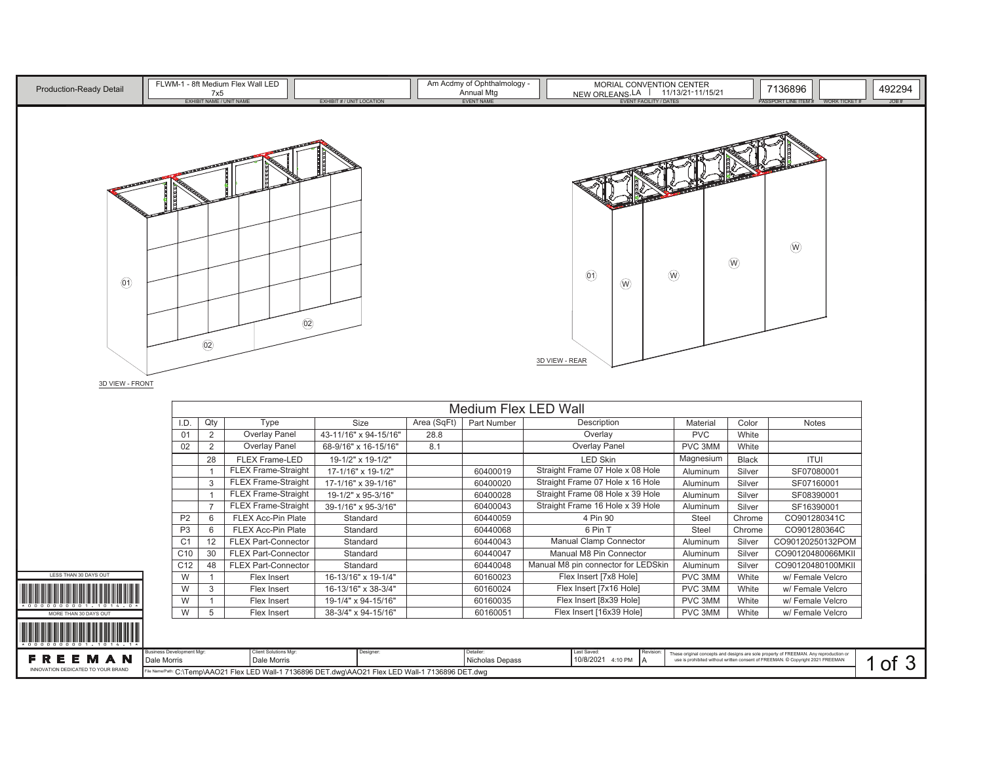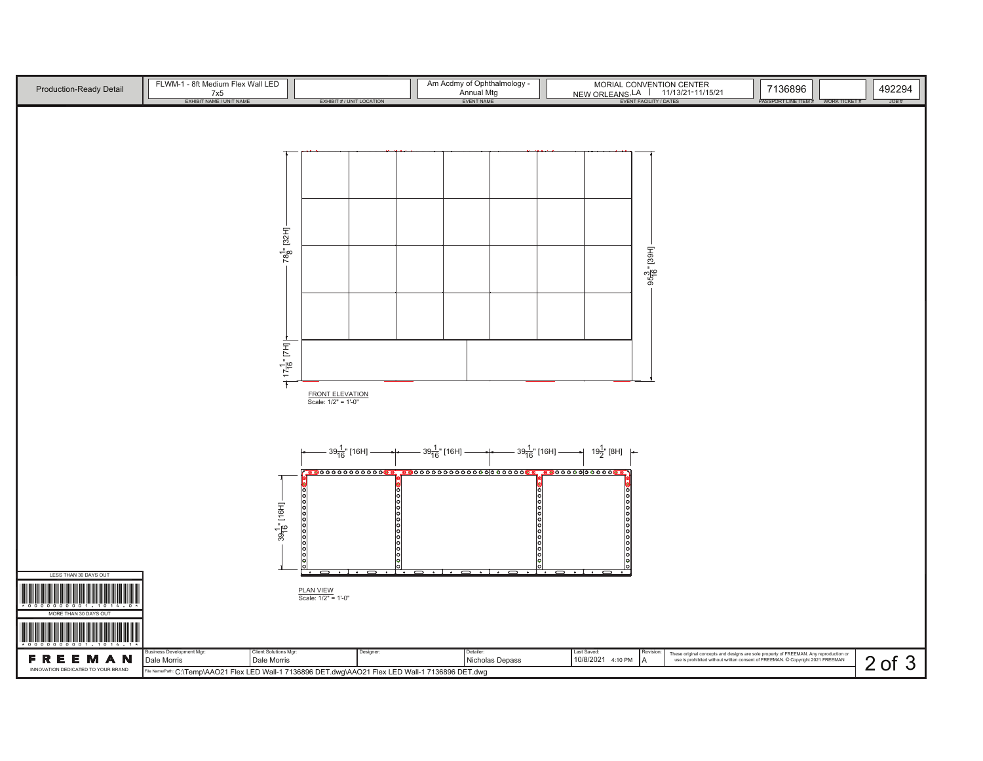